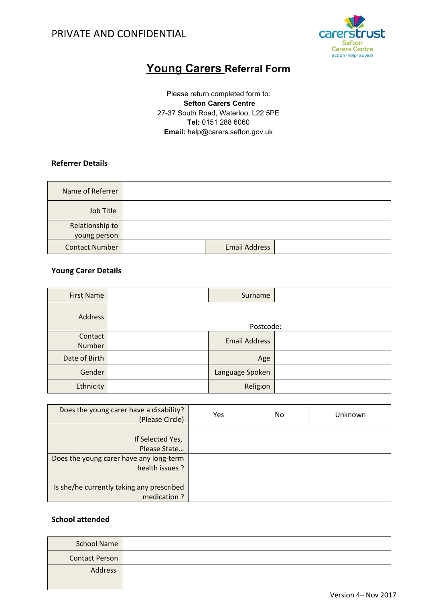

# **Young Carers Referral Form**

Please return completed form to:  **Sefton Carers Centre** 27-37 South Road, Waterloo, L22 5PE **Tel:** 0151 288 6060 **Email:** help@carers.sefton.gov.uk

### **Referrer Details**

| Name of Referrer      |                      |  |
|-----------------------|----------------------|--|
| Job Title             |                      |  |
| Relationship to       |                      |  |
| young person          |                      |  |
| <b>Contact Number</b> | <b>Email Address</b> |  |

### **Young Carer Details**

| <b>First Name</b> | Surname              |  |
|-------------------|----------------------|--|
| Address           | Postcode:            |  |
|                   |                      |  |
| Contact<br>Number | <b>Email Address</b> |  |
| Date of Birth     | Age                  |  |
| Gender            | Language Spoken      |  |
| Ethnicity         | Religion             |  |

| Does the young carer have a disability?<br>(Please Circle) | Yes | No. | Unknown |
|------------------------------------------------------------|-----|-----|---------|
| If Selected Yes,<br>Please State                           |     |     |         |
| Does the young carer have any long-term<br>health issues ? |     |     |         |
| Is she/he currently taking any prescribed<br>medication?   |     |     |         |

### **School attended**

| <b>School Name</b>    |  |
|-----------------------|--|
| <b>Contact Person</b> |  |
| Address               |  |
|                       |  |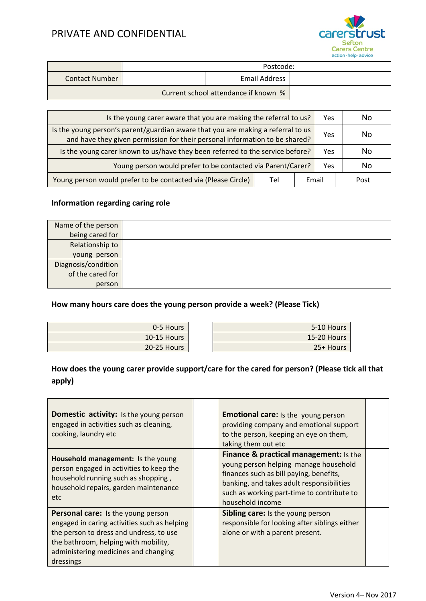

|                       |           |                                      | action · help · advice |  |  |
|-----------------------|-----------|--------------------------------------|------------------------|--|--|
|                       | Postcode: |                                      |                        |  |  |
| <b>Contact Number</b> |           | Email Address                        |                        |  |  |
|                       |           | Current school attendance if known % |                        |  |  |

| Yes. | Is the young carer aware that you are making the referral to us?                                                                                                |       | No.  |  |
|------|-----------------------------------------------------------------------------------------------------------------------------------------------------------------|-------|------|--|
| Yes  | Is the young person's parent/guardian aware that you are making a referral to us<br>and have they given permission for their personal information to be shared? |       | No.  |  |
| Yes  | Is the young carer known to us/have they been referred to the service before?                                                                                   |       | No   |  |
| Yes  | Young person would prefer to be contacted via Parent/Carer?                                                                                                     |       | No   |  |
|      | Tel                                                                                                                                                             | Email | Post |  |

### **Information regarding caring role**

| Name of the person  |  |
|---------------------|--|
| being cared for     |  |
| Relationship to     |  |
| young person        |  |
| Diagnosis/condition |  |
| of the cared for    |  |
| person              |  |

## **How many hours care does the young person provide a week? (Please Tick)**

| 0-5 Hours     | 5-10 Hours    |  |
|---------------|---------------|--|
| $10-15$ Hours | $15-20$ Hours |  |
| 20-25 Hours   | 25+ Hours     |  |

## **How does the young carer provide support/care for the cared for person? (Please tick all that apply)**

| <b>Domestic activity:</b> Is the young person<br>engaged in activities such as cleaning,<br>cooking, laundry etc                                                                                                           | <b>Emotional care:</b> Is the young person<br>providing company and emotional support<br>to the person, keeping an eye on them,<br>taking them out etc                                                                                    |  |
|----------------------------------------------------------------------------------------------------------------------------------------------------------------------------------------------------------------------------|-------------------------------------------------------------------------------------------------------------------------------------------------------------------------------------------------------------------------------------------|--|
| Household management: Is the young<br>person engaged in activities to keep the<br>household running such as shopping,<br>household repairs, garden maintenance<br>etc.                                                     | Finance & practical management: Is the<br>young person helping manage household<br>finances such as bill paying, benefits,<br>banking, and takes adult responsibilities<br>such as working part-time to contribute to<br>household income |  |
| Personal care: Is the young person<br>engaged in caring activities such as helping<br>the person to dress and undress, to use<br>the bathroom, helping with mobility,<br>administering medicines and changing<br>dressings | <b>Sibling care:</b> Is the young person<br>responsible for looking after siblings either<br>alone or with a parent present.                                                                                                              |  |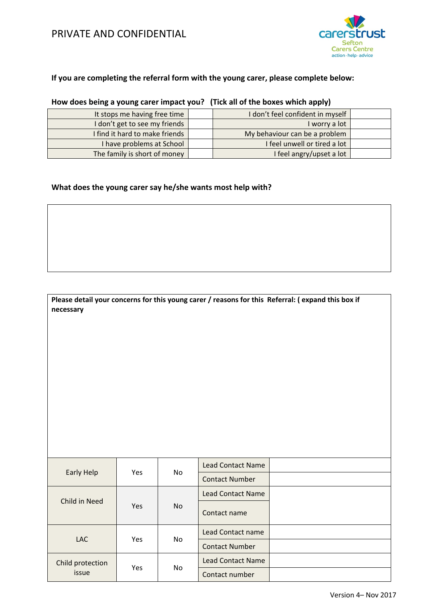

### **If you are completing the referral form with the young carer, please complete below:**

| It stops me having free time   | I don't feel confident in myself |  |
|--------------------------------|----------------------------------|--|
| I don't get to see my friends  | I worry a lot                    |  |
| I find it hard to make friends | My behaviour can be a problem    |  |
| I have problems at School      | I feel unwell or tired a lot     |  |
| The family is short of money   | I feel angry/upset a lot         |  |

### **How does being a young carer impact you? (Tick all of the boxes which apply)**

### **What does the young carer say he/she wants most help with?**

#### **Please detail your concerns for this young carer / reasons for this Referral: ( expand this box if necessary**

| Early Help                |            |     | Lead Contact Name        |  |
|---------------------------|------------|-----|--------------------------|--|
|                           | Yes        | No. | <b>Contact Number</b>    |  |
|                           |            |     | Lead Contact Name        |  |
| Child in Need             | <b>Yes</b> | No. | Contact name             |  |
| LAC                       | Yes        | No. | <b>Lead Contact name</b> |  |
|                           |            |     | <b>Contact Number</b>    |  |
| Child protection<br>issue |            |     | <b>Lead Contact Name</b> |  |
|                           | <b>Yes</b> | No. | Contact number           |  |